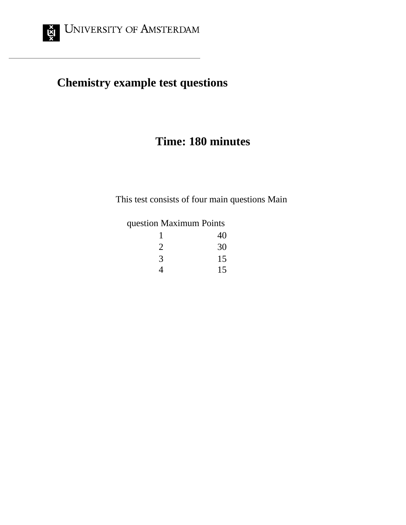

# **Chemistry example test questions**

## **Time: 180 minutes**

This test consists of four main questions Main

### question Maximum Points

| 1 | 40 |
|---|----|
| 2 | 30 |
| 3 | 15 |
| 4 | 15 |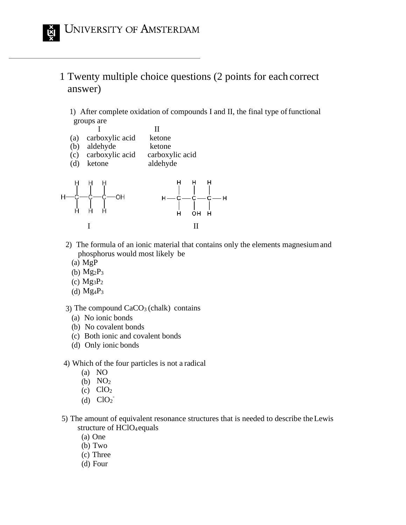### 1 Twenty multiple choice questions (2 points for each correct answer)

1) After complete oxidation of compounds I and II, the final type of functional groups are



- 2) The formula of an ionic material that contains only the elements magnesiumand phosphorus would most likely be
	- (a) MgP
	- (b)  $Mg_2P_3$
	- (c)  $Mg_3P_2$
	- (d)  $Mg_4P_3$

3) The compound  $CaCO<sub>3</sub>$  (chalk) contains

- (a) No ionic bonds
- (b) No covalent bonds
- (c) Both ionic and covalent bonds
- (d) Only ionic bonds
- 4) Which of the four particles is not a radical
	- (a) NO
	- (b) NO<sup>2</sup>
	- (c)  $ClO<sub>2</sub>$
	- (d)  $CIO<sub>2</sub>$ <sup>-</sup>
- 5) The amount of equivalent resonance structures that is needed to describe theLewis structure of HClO<sub>4</sub>equals
	- (a) One
	- (b) Two
	- (c) Three
	- (d) Four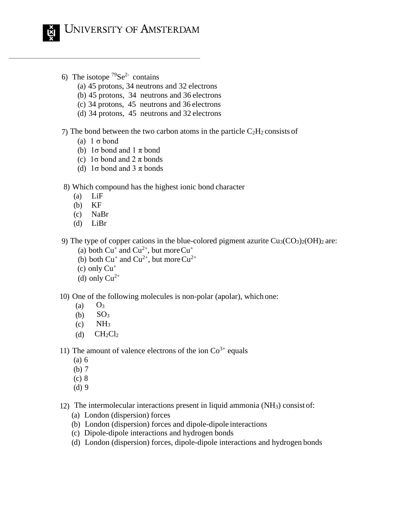

- 6) The isotope  $79$ Se<sup>2-</sup> contains
	- (a) 45 protons, 34 neutrons and 32 electrons
	- (b) 45 protons, 34 neutrons and 36 electrons
	- (c) 34 protons, 45 neutrons and 36 electrons
	- (d) 34 protons, 45 neutrons and 32 electrons
- 7) The bond between the two carbon atoms in the particle  $C_2H_2$  consists of
	- (a) 1 σ bond
	- (b)  $1\sigma$  bond and  $1\pi$  bond
	- (c) 1σ bond and 2 π bonds
	- (d)  $1\sigma$  bond and  $3\pi$  bonds
- 8) Which compound has the highest ionic bond character
	- (a) LiF
	- (b) KF
	- (c) NaBr
	- (d) LiBr
- 9) The type of copper cations in the blue-colored pigment azurite  $Cu<sub>3</sub>(CO<sub>3</sub>)<sub>2</sub>(OH)<sub>2</sub>$  are:
	- (a) both  $Cu^+$  and  $Cu^{2+}$ , but more  $Cu^+$
	- (b) both  $Cu^+$  and  $Cu^{2+}$ , but more  $Cu^{2+}$
	- (c) only  $Cu<sup>+</sup>$
	- (d) only  $Cu^{2+}$

10) One of the following molecules is non-polar (apolar), which one:

- $(a)$   $O_3$
- $(b)$  SO<sub>3</sub>
- $(c)$  NH<sub>3</sub>
- (d)  $CH_2Cl_2$

11) The amount of valence electrons of the ion  $Co<sup>3+</sup>$  equals

- (a) 6
- (b) 7
- (c) 8
- (d) 9
- 12) The intermolecular interactions present in liquid ammonia (NH3) consist of:
	- (a) London (dispersion) forces
	- (b) London (dispersion) forces and dipole-dipole interactions
	- (c) Dipole-dipole interactions and hydrogen bonds
	- (d) London (dispersion) forces, dipole-dipole interactions and hydrogen bonds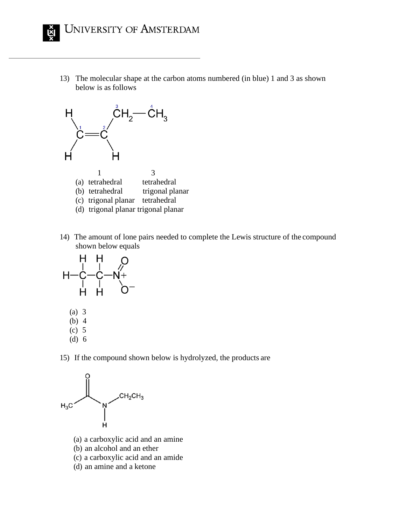13) The molecular shape at the carbon atoms numbered (in blue) 1 and 3 as shown below is as follows



14) The amount of lone pairs needed to complete the Lewis structure of the compound shown below equals



15) If the compound shown below is hydrolyzed, the products are



- (a) a carboxylic acid and an amine
- (b) an alcohol and an ether
- (c) a carboxylic acid and an amide
- (d) an amine and a ketone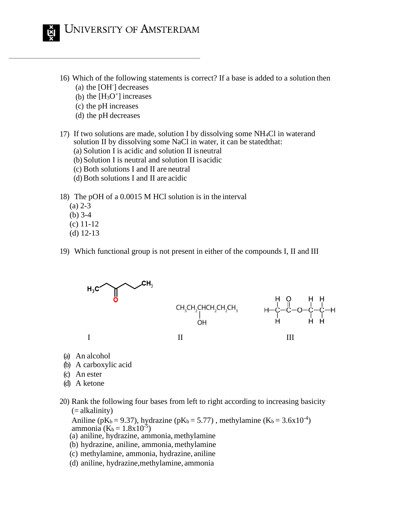

- 16) Which of the following statements is correct? If a base is added to a solution then (a) the [OH- ] decreases
	- (b) the  $[H_3O^+]$  increases
	-
	- (c) the pH increases (d) the pH decreases
- 17) If two solutions are made, solution I by dissolving some NH4Cl in waterand solution II by dissolving some NaCl in water, it can be statedthat:
	- (a) Solution I is acidic and solution II isneutral
	- (b) Solution I is neutral and solution II isacidic
	- (c) Both solutions I and II are neutral
	- (d) Both solutions I and II are acidic

18) The pOH of a 0.0015 M HCl solution is in the interval

- (a) 2-3
- (b) 3-4
- (c) 11-12
- (d) 12-13
- 19) Which functional group is not present in either of the compounds I, II and III



- (a) An alcohol
- (b) A carboxylic acid
- (c) An ester
- (d) A ketone
- 20) Rank the following four bases from left to right according to increasing basicity (= alkalinity)

Aniline (pK<sub>b</sub> = 9.37), hydrazine (pK<sub>b</sub> = 5.77), methylamine (K<sub>b</sub> = 3.6x10<sup>-4</sup>) ammonia ( $\bar{K}_b = 1.8 \times 10^{-5}$ )

- (a) aniline, hydrazine, ammonia,methylamine
- (b) hydrazine, aniline, ammonia, methylamine
- (c) methylamine, ammonia, hydrazine, aniline
- (d) aniline, hydrazine,methylamine, ammonia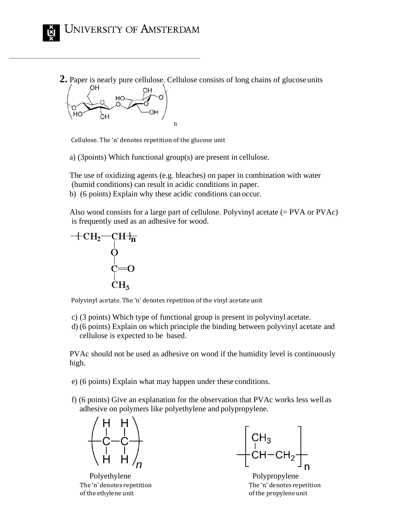**2.** Paper is nearly pure cellulose. Cellulose consists of long chains of glucoseunits



Cellulose. The 'n' denotes repetition of the glucose unit

a) (3points) Which functional group(s) are present in cellulose.

The use of oxidizing agents (e.g. bleaches) on paper in combination with water (humid conditions) can result in acidic conditions in paper. b) (6 points) Explain why these acidic conditions can occur.

Also wood consists for a large part of cellulose. Polyvinyl acetate (= PVA or PVAc) is frequently used as an adhesive for wood.



Polyvinyl acetate. The 'n' denotes repetition of the vinyl acetate unit

- c) (3 points) Which type of functional group is present in polyvinyl acetate.
- d) (6 points) Explain on which principle the binding between polyvinyl acetate and cellulose is expected to be based.

PVAc should not be used as adhesive on wood if the humidity level is continuously high.

- e) (6 points) Explain what may happen under these conditions.
- f) (6 points) Give an explanation for the observation that PVAc works less well as adhesive on polymers like polyethylene and polypropylene.



Polyethylene Polypropylene of the ethylene unit of the propyleneunit

 $\begin{array}{c}\n\begin{array}{c}\nCH_3 \\
CH-CH-CH_2\n\end{array}\n\end{array}$ 

The 'n' denotes repetition The 'n' denotes repetition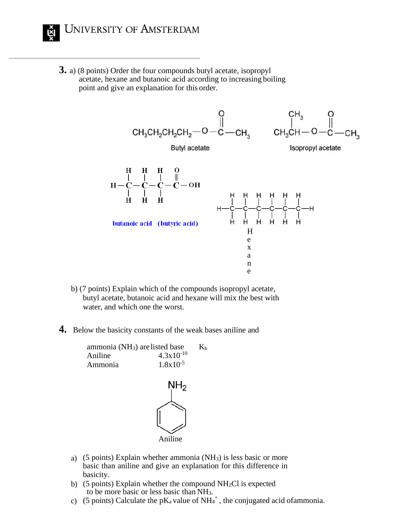

**3.** a) (8 points) Order the four compounds butyl acetate, isopropyl acetate, hexane and butanoic acid according to increasing boiling point and give an explanation for this order.



- b) (7 points) Explain which of the compounds isopropyl acetate, butyl acetate, butanoic acid and hexane will mix the best with water, and which one the worst.
- **4.** Below the basicity constants of the weak bases aniline and

ammonia (NH<sub>3</sub>) are listed base  $K_b$ Aniline  $4.3 \times 10^{-10}$ Ammonia  $1.8x10^{-5}$ 



- a) (5 points) Explain whether ammonia (NH3) is less basic or more basic than aniline and give an explanation for this difference in basicity.
- b) (5 points) Explain whether the compound  $NH<sub>2</sub>Cl$  is expected to be more basic or less basic than NH3.
- c) (5 points) Calculate the pK<sub>a</sub> value of NH<sub>4</sub><sup>+</sup>, the conjugated acid ofammonia.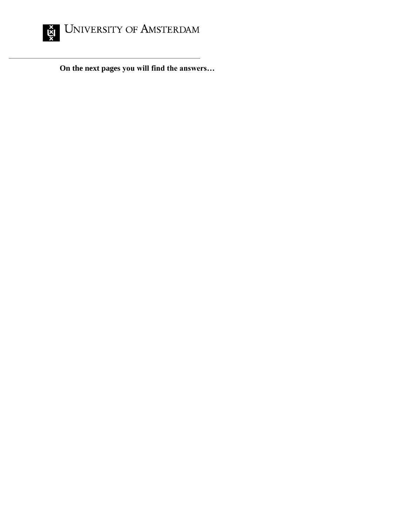

**On the next pages you will find the answers…**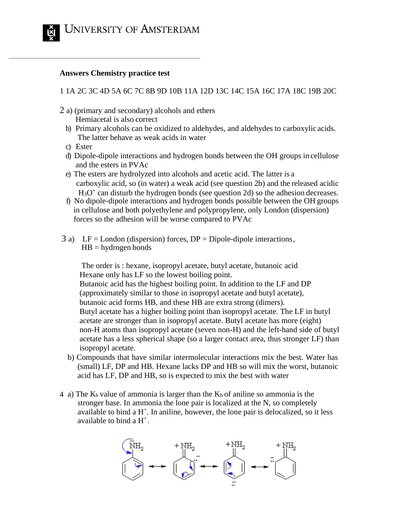

#### **Answers Chemistry practice test**

1 1A 2C 3C 4D 5A 6C 7C 8B 9D 10B 11A 12D 13C 14C 15A 16C 17A 18C 19B 20C

- 2 a) (primary and secondary) alcohols and ethers Hemiacetal is also correct
	- b) Primary alcohols can be oxidized to aldehydes, and aldehydes to carboxylic acids. The latter behave as weak acids in water
	- c) Ester
	- d) Dipole-dipole interactions and hydrogen bonds between the OH groups in cellulose and the esters in PVAc
	- e) The esters are hydrolyzed into alcohols and acetic acid. The latter is a carboxylic acid, so (in water) a weak acid (see question 2b) and the released acidic  $H<sub>3</sub>O<sup>+</sup>$  can disturb the hydrogen bonds (see question 2d) so the adhesion decreases.
	- f) No dipole-dipole interactions and hydrogen bonds possible between the OH groups in cellulose and both polyethylene and polypropylene, only London (dispersion) forces so the adhesion will be worse compared to PVAc
- $3 a)$  LF = London (dispersion) forces, DP = Dipole-dipole interactions,  $HB = hydrogen bonds$

The order is : hexane, isopropyl acetate, butyl acetate, butanoic acid Hexane only has LF so the lowest boiling point. Butanoic acid has the highest boiling point. In addition to the LF and DP (approximately similar to those in isopropyl acetate and butyl acetate), butanoic acid forms HB, and these HB are extra strong (dimers). Butyl acetate has a higher boiling point than isopropyl acetate. The LF in butyl acetate are stronger than in isopropyl acetate. Butyl acetate has more (eight) non-H atoms than isopropyl acetate (seven non-H) and the left-hand side of butyl acetate has a less spherical shape (so a larger contact area, thus stronger LF) than isopropyl acetate.

- b) Compounds that have similar intermolecular interactions mix the best. Water has (small) LF, DP and HB. Hexane lacks DP and HB so will mix the worst, butanoic acid has LF, DP and HB, so is expected to mix the best with water
- 4 a) The  $K_b$  value of ammonia is larger than the  $K_b$  of aniline so ammonia is the stronger base. In ammonia the lone pair is localized at the N, so completely available to bind a  $H^+$ . In aniline, however, the lone pair is delocalized, so it less available to bind a  $H^+$ .